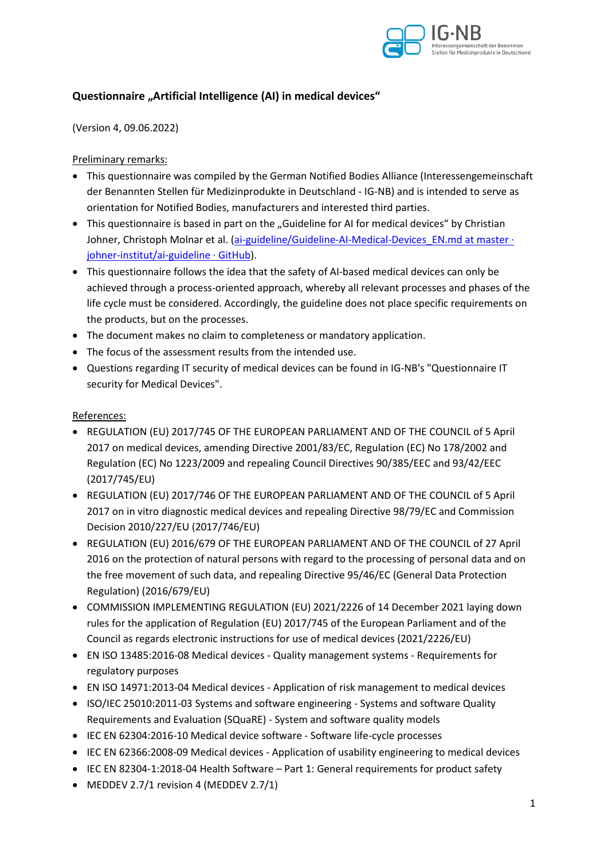

## **Questionnaire "Artificial Intelligence (AI) in medical devices"**

(Version 4, 09.06.2022)

#### Preliminary remarks:

- This questionnaire was compiled by the German Notified Bodies Alliance (Interessengemeinschaft der Benannten Stellen für Medizinprodukte in Deutschland - IG-NB) and is intended to serve as orientation for Notified Bodies, manufacturers and interested third parties.
- This questionnaire is based in part on the "Guideline for AI for medical devices" by Christian Johner, Christoph Molnar et al. (ai-guideline/Guideline-AI-Medical-Devices EN.md at master · johner-institut/ai-guideline · GitHub).
- This questionnaire follows the idea that the safety of AI-based medical devices can only be achieved through a process-oriented approach, whereby all relevant processes and phases of the life cycle must be considered. Accordingly, the guideline does not place specific requirements on the products, but on the processes.
- The document makes no claim to completeness or mandatory application.
- The focus of the assessment results from the intended use.
- Questions regarding IT security of medical devices can be found in IG-NB's "Questionnaire IT security for Medical Devices".

#### References:

- REGULATION (EU) 2017/745 OF THE EUROPEAN PARLIAMENT AND OF THE COUNCIL of 5 April 2017 on medical devices, amending Directive 2001/83/EC, Regulation (EC) No 178/2002 and Regulation (EC) No 1223/2009 and repealing Council Directives 90/385/EEC and 93/42/EEC (2017/745/EU)
- REGULATION (EU) 2017/746 OF THE EUROPEAN PARLIAMENT AND OF THE COUNCIL of 5 April 2017 on in vitro diagnostic medical devices and repealing Directive 98/79/EC and Commission Decision 2010/227/EU (2017/746/EU)
- REGULATION (EU) 2016/679 OF THE EUROPEAN PARLIAMENT AND OF THE COUNCIL of 27 April 2016 on the protection of natural persons with regard to the processing of personal data and on the free movement of such data, and repealing Directive 95/46/EC (General Data Protection Regulation) (2016/679/EU)
- COMMISSION IMPLEMENTING REGULATION (EU) 2021/2226 of 14 December 2021 laying down rules for the application of Regulation (EU) 2017/745 of the European Parliament and of the Council as regards electronic instructions for use of medical devices (2021/2226/EU)
- EN ISO 13485:2016-08 Medical devices Quality management systems Requirements for regulatory purposes
- EN ISO 14971:2013-04 Medical devices Application of risk management to medical devices
- ISO/IEC 25010:2011-03 Systems and software engineering Systems and software Quality Requirements and Evaluation (SQuaRE) - System and software quality models
- IEC EN 62304:2016-10 Medical device software Software life-cycle processes
- IEC EN 62366:2008-09 Medical devices Application of usability engineering to medical devices
- IEC EN 82304-1:2018-04 Health Software Part 1: General requirements for product safety
- MEDDEV 2.7/1 revision 4 (MEDDEV 2.7/1)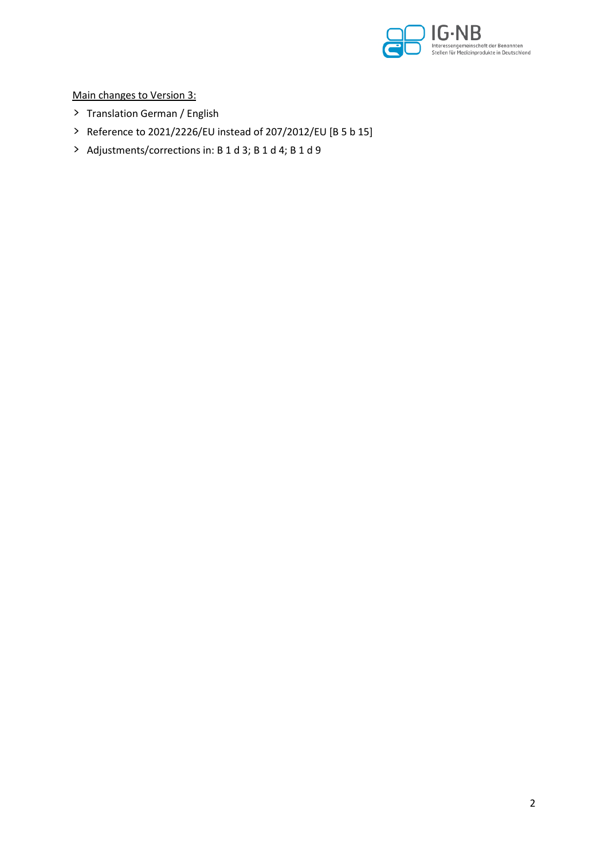

Main changes to Version 3:

- > Translation German / English
- > Reference to 2021/2226/EU instead of 207/2012/EU [B 5 b 15]
- > Adjustments/corrections in: B 1 d 3; B 1 d 4; B 1 d 9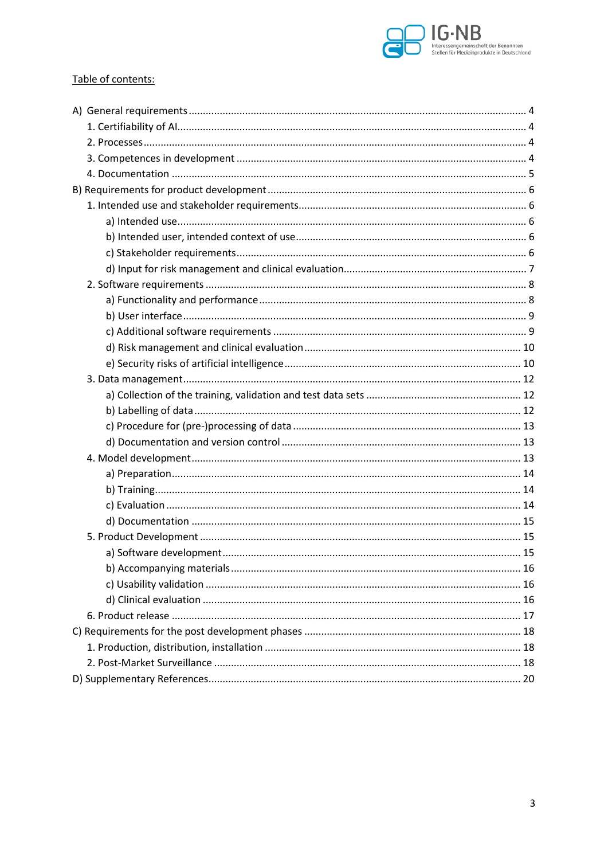

### Table of contents: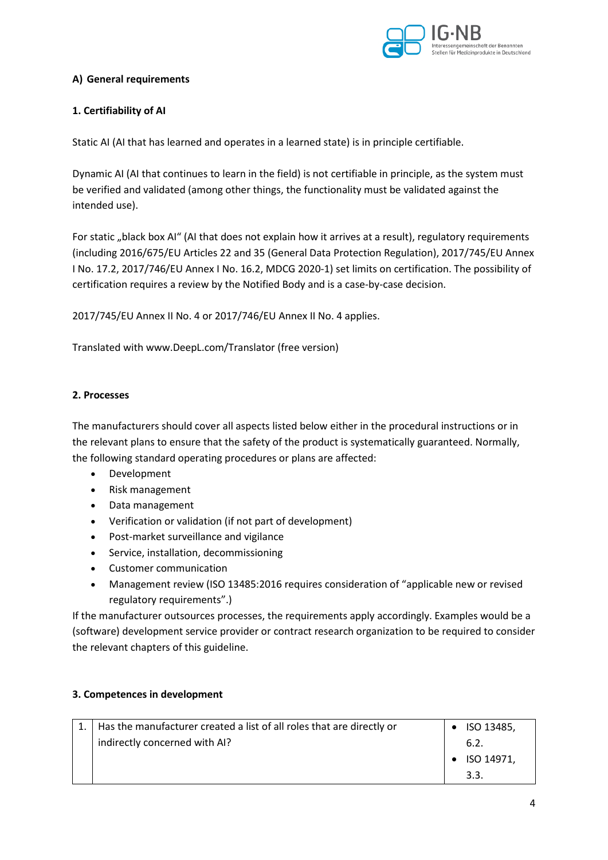

### **A) General requirements**

### **1. Certifiability of AI**

Static AI (AI that has learned and operates in a learned state) is in principle certifiable.

Dynamic AI (AI that continues to learn in the field) is not certifiable in principle, as the system must be verified and validated (among other things, the functionality must be validated against the intended use).

For static "black box AI" (AI that does not explain how it arrives at a result), regulatory requirements (including 2016/675/EU Articles 22 and 35 (General Data Protection Regulation), 2017/745/EU Annex I No. 17.2, 2017/746/EU Annex I No. 16.2, MDCG 2020-1) set limits on certification. The possibility of certification requires a review by the Notified Body and is a case-by-case decision.

2017/745/EU Annex II No. 4 or 2017/746/EU Annex II No. 4 applies.

Translated with www.DeepL.com/Translator (free version)

#### **2. Processes**

The manufacturers should cover all aspects listed below either in the procedural instructions or in the relevant plans to ensure that the safety of the product is systematically guaranteed. Normally, the following standard operating procedures or plans are affected:

- Development
- Risk management
- Data management
- Verification or validation (if not part of development)
- Post-market surveillance and vigilance
- Service, installation, decommissioning
- Customer communication
- Management review (ISO 13485:2016 requires consideration of "applicable new or revised regulatory requirements".)

If the manufacturer outsources processes, the requirements apply accordingly. Examples would be a (software) development service provider or contract research organization to be required to consider the relevant chapters of this guideline.

#### **3. Competences in development**

| Has the manufacturer created a list of all roles that are directly or | $\bullet$ ISO 13485, |
|-----------------------------------------------------------------------|----------------------|
| indirectly concerned with AI?                                         | 6.2.                 |
|                                                                       | $\bullet$ ISO 14971. |
|                                                                       | 3.3                  |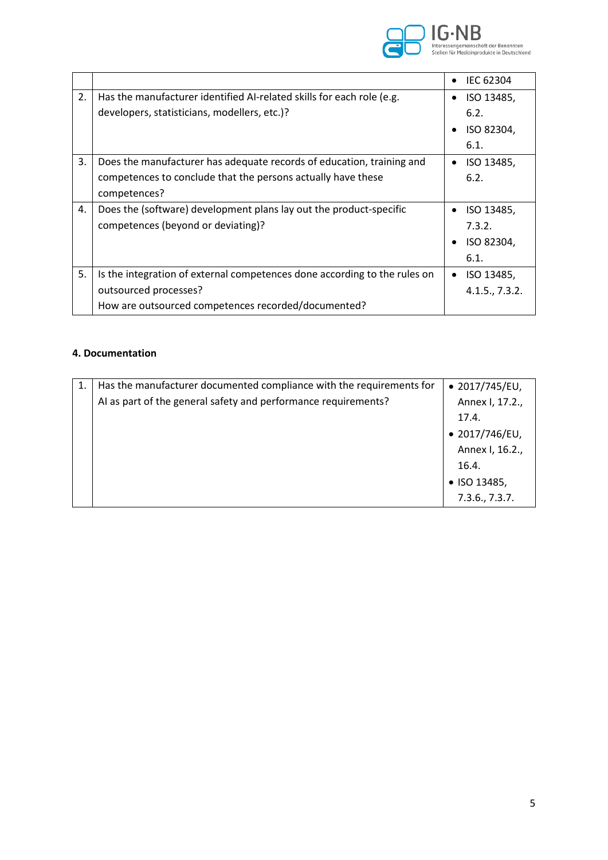

|    |                                                                           |           | <b>IEC 62304</b> |
|----|---------------------------------------------------------------------------|-----------|------------------|
| 2. | Has the manufacturer identified AI-related skills for each role (e.g.     |           | ISO 13485,       |
|    | developers, statisticians, modellers, etc.)?                              |           | 6.2.             |
|    |                                                                           |           | ISO 82304,       |
|    |                                                                           |           | 6.1.             |
| 3. | Does the manufacturer has adequate records of education, training and     | $\bullet$ | ISO 13485,       |
|    | competences to conclude that the persons actually have these              |           | 6.2.             |
|    | competences?                                                              |           |                  |
| 4. | Does the (software) development plans lay out the product-specific        |           | ISO 13485,       |
|    | competences (beyond or deviating)?                                        |           | 7.3.2.           |
|    |                                                                           |           | ISO 82304,       |
|    |                                                                           |           | 6.1.             |
| 5. | Is the integration of external competences done according to the rules on | $\bullet$ | ISO 13485,       |
|    | outsourced processes?                                                     |           | 4.1.5., 7.3.2.   |
|    | How are outsourced competences recorded/documented?                       |           |                  |

### **4. Documentation**

| 1. | Has the manufacturer documented compliance with the requirements for | $\bullet$ 2017/745/EU, |
|----|----------------------------------------------------------------------|------------------------|
|    | AI as part of the general safety and performance requirements?       | Annex I, 17.2.,        |
|    |                                                                      | 17.4.                  |
|    |                                                                      | $\bullet$ 2017/746/EU, |
|    |                                                                      | Annex I, 16.2.,        |
|    |                                                                      | 16.4.                  |
|    |                                                                      | • ISO 13485,           |
|    |                                                                      | 7.3.6., 7.3.7.         |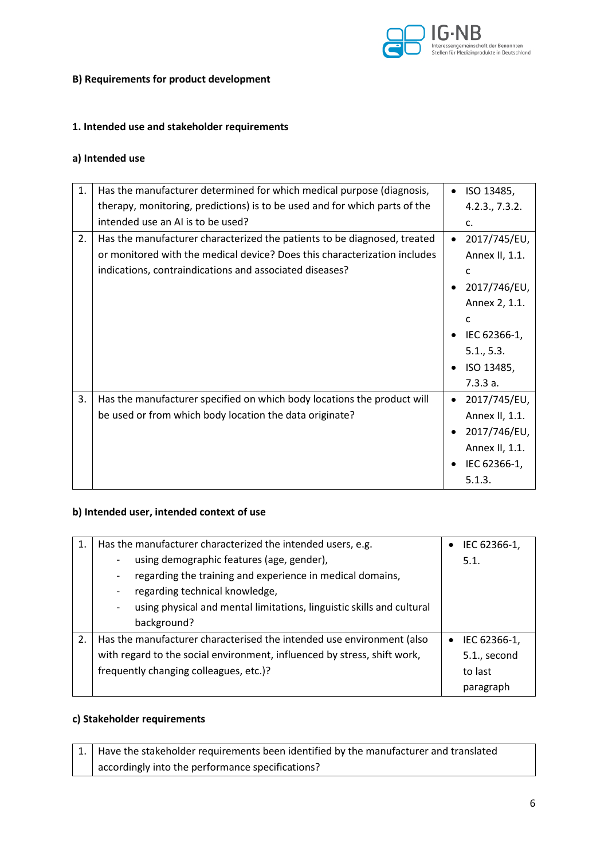

#### **B) Requirements for product development**

### **1. Intended use and stakeholder requirements**

## **a) Intended use**

| 1. | Has the manufacturer determined for which medical purpose (diagnosis,      | $\bullet$ | ISO 13485,     |
|----|----------------------------------------------------------------------------|-----------|----------------|
|    | therapy, monitoring, predictions) is to be used and for which parts of the |           | 4.2.3., 7.3.2. |
|    | intended use an AI is to be used?                                          |           | c.             |
| 2. | Has the manufacturer characterized the patients to be diagnosed, treated   | $\bullet$ | 2017/745/EU,   |
|    | or monitored with the medical device? Does this characterization includes  |           | Annex II, 1.1. |
|    | indications, contraindications and associated diseases?                    |           | C              |
|    |                                                                            | $\bullet$ | 2017/746/EU,   |
|    |                                                                            |           | Annex 2, 1.1.  |
|    |                                                                            |           | C              |
|    |                                                                            | $\bullet$ | IEC 62366-1,   |
|    |                                                                            |           | 5.1, 5.3.      |
|    |                                                                            | $\bullet$ | ISO 13485,     |
|    |                                                                            |           | 7.3.3a.        |
| 3. | Has the manufacturer specified on which body locations the product will    | $\bullet$ | 2017/745/EU,   |
|    | be used or from which body location the data originate?                    |           | Annex II, 1.1. |
|    |                                                                            |           | 2017/746/EU,   |
|    |                                                                            |           | Annex II, 1.1. |
|    |                                                                            |           | IEC 62366-1,   |
|    |                                                                            |           | 5.1.3.         |

### **b) Intended user, intended context of use**

|    | Has the manufacturer characterized the intended users, e.g.                                           | IEC 62366-1, |
|----|-------------------------------------------------------------------------------------------------------|--------------|
|    | using demographic features (age, gender),                                                             | 5.1.         |
|    | regarding the training and experience in medical domains,<br>$\qquad \qquad \blacksquare$             |              |
|    | regarding technical knowledge,<br>$\qquad \qquad \blacksquare$                                        |              |
|    | using physical and mental limitations, linguistic skills and cultural<br>$\qquad \qquad \blacksquare$ |              |
|    | background?                                                                                           |              |
| 2. | Has the manufacturer characterised the intended use environment (also                                 | IEC 62366-1, |
|    | with regard to the social environment, influenced by stress, shift work,                              | 5.1., second |
|    | frequently changing colleagues, etc.)?                                                                | to last      |
|    |                                                                                                       | paragraph    |

#### **c) Stakeholder requirements**

| $\vert$ 1. $\vert$ Have the stakeholder requirements been identified by the manufacturer and translated |
|---------------------------------------------------------------------------------------------------------|
| accordingly into the performance specifications?                                                        |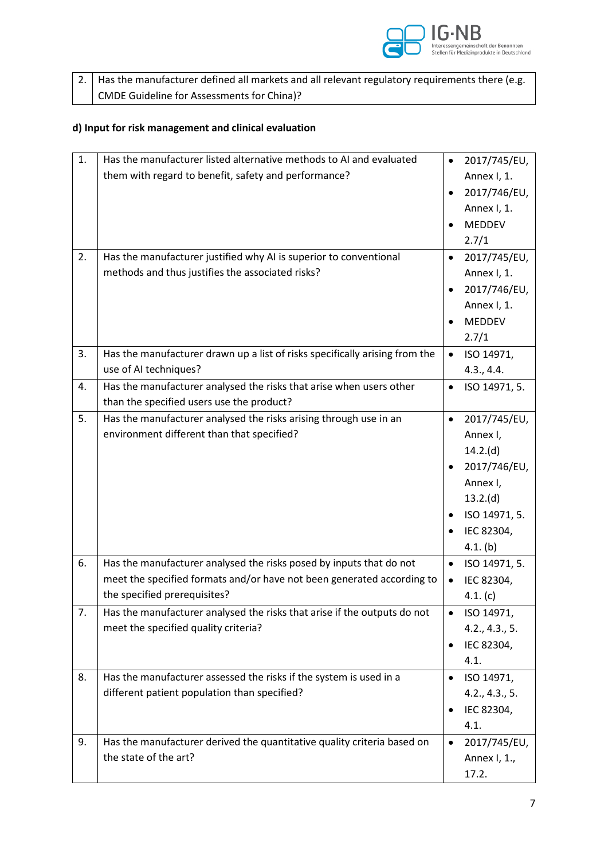

| $\vert$ 2. $\vert$ Has the manufacturer defined all markets and all relevant regulatory requirements there (e.g. |
|------------------------------------------------------------------------------------------------------------------|
| CMDE Guideline for Assessments for China)?                                                                       |

## **d) Input for risk management and clinical evaluation**

| 1. | Has the manufacturer listed alternative methods to AI and evaluated         |           | 2017/745/EU,   |
|----|-----------------------------------------------------------------------------|-----------|----------------|
|    | them with regard to benefit, safety and performance?                        |           | Annex I, 1.    |
|    |                                                                             |           | 2017/746/EU,   |
|    |                                                                             |           | Annex I, 1.    |
|    |                                                                             |           | MEDDEV         |
|    |                                                                             |           | 2.7/1          |
| 2. | Has the manufacturer justified why AI is superior to conventional           |           | 2017/745/EU,   |
|    | methods and thus justifies the associated risks?                            |           | Annex I, 1.    |
|    |                                                                             |           | 2017/746/EU,   |
|    |                                                                             |           | Annex I, 1.    |
|    |                                                                             |           | MEDDEV         |
|    |                                                                             |           | 2.7/1          |
| 3. | Has the manufacturer drawn up a list of risks specifically arising from the |           | ISO 14971,     |
|    | use of AI techniques?                                                       |           | 4.3., 4.4.     |
| 4. | Has the manufacturer analysed the risks that arise when users other         | $\bullet$ | ISO 14971, 5.  |
|    | than the specified users use the product?                                   |           |                |
| 5. | Has the manufacturer analysed the risks arising through use in an           | $\bullet$ | 2017/745/EU,   |
|    | environment different than that specified?                                  |           | Annex I,       |
|    |                                                                             |           | 14.2(d)        |
|    |                                                                             |           | 2017/746/EU,   |
|    |                                                                             |           | Annex I,       |
|    |                                                                             |           | 13.2(d)        |
|    |                                                                             |           | ISO 14971, 5.  |
|    |                                                                             |           | IEC 82304,     |
|    |                                                                             |           | 4.1. (b)       |
| 6. | Has the manufacturer analysed the risks posed by inputs that do not         |           | ISO 14971, 5.  |
|    | meet the specified formats and/or have not been generated according to      |           | IEC 82304,     |
|    | the specified prerequisites?                                                |           | 4.1. (c)       |
| 7. | Has the manufacturer analysed the risks that arise if the outputs do not    |           | ISO 14971,     |
|    | meet the specified quality criteria?                                        |           | 4.2., 4.3., 5. |
|    |                                                                             | $\bullet$ | IEC 82304,     |
|    |                                                                             |           | 4.1.           |
| 8. | Has the manufacturer assessed the risks if the system is used in a          | $\bullet$ | ISO 14971,     |
|    | different patient population than specified?                                |           | 4.2., 4.3., 5. |
|    |                                                                             | $\bullet$ | IEC 82304,     |
|    |                                                                             |           | 4.1.           |
| 9. | Has the manufacturer derived the quantitative quality criteria based on     | $\bullet$ | 2017/745/EU,   |
|    | the state of the art?                                                       |           | Annex I, 1.,   |
|    |                                                                             |           | 17.2.          |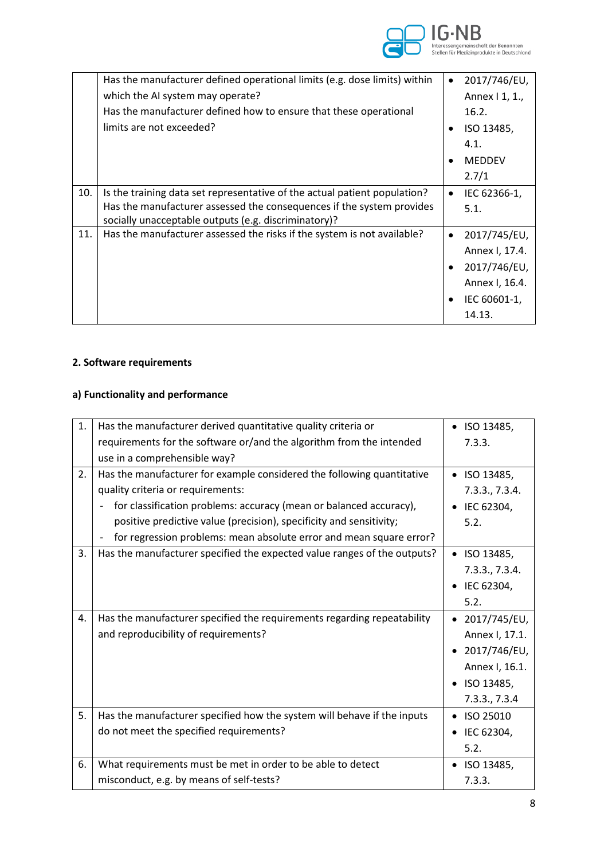

|     | Has the manufacturer defined operational limits (e.g. dose limits) within                                                     | $\bullet$ | 2017/746/EU,   |
|-----|-------------------------------------------------------------------------------------------------------------------------------|-----------|----------------|
|     | which the AI system may operate?                                                                                              |           | Annex   1, 1., |
|     | Has the manufacturer defined how to ensure that these operational                                                             |           | 16.2.          |
|     | limits are not exceeded?                                                                                                      |           | ISO 13485,     |
|     |                                                                                                                               |           | 4.1.           |
|     |                                                                                                                               | $\bullet$ | <b>MEDDEV</b>  |
|     |                                                                                                                               |           | 2.7/1          |
| 10. | Is the training data set representative of the actual patient population?                                                     | $\bullet$ | IEC 62366-1,   |
|     | Has the manufacturer assessed the consequences if the system provides<br>socially unacceptable outputs (e.g. discriminatory)? |           | 5.1.           |
| 11. | Has the manufacturer assessed the risks if the system is not available?                                                       | $\bullet$ | 2017/745/EU,   |
|     |                                                                                                                               |           | Annex I, 17.4. |
|     |                                                                                                                               | $\bullet$ | 2017/746/EU,   |
|     |                                                                                                                               |           | Annex I, 16.4. |
|     |                                                                                                                               |           | IEC 60601-1,   |
|     |                                                                                                                               |           | 14.13.         |

## **2. Software requirements**

## **a) Functionality and performance**

| 1. | Has the manufacturer derived quantitative quality criteria or            | $\bullet$ ISO 13485, |
|----|--------------------------------------------------------------------------|----------------------|
|    | requirements for the software or/and the algorithm from the intended     | 7.3.3.               |
|    | use in a comprehensible way?                                             |                      |
| 2. | Has the manufacturer for example considered the following quantitative   | ISO 13485,           |
|    | quality criteria or requirements:                                        | 7.3.3., 7.3.4.       |
|    | for classification problems: accuracy (mean or balanced accuracy),       | IEC 62304,           |
|    | positive predictive value (precision), specificity and sensitivity;      | 5.2.                 |
|    | for regression problems: mean absolute error and mean square error?      |                      |
| 3. | Has the manufacturer specified the expected value ranges of the outputs? | ISO 13485,           |
|    |                                                                          | 7.3.3., 7.3.4.       |
|    |                                                                          | IEC 62304,           |
|    |                                                                          | 5.2.                 |
| 4. | Has the manufacturer specified the requirements regarding repeatability  | 2017/745/EU,         |
|    | and reproducibility of requirements?                                     | Annex I, 17.1.       |
|    |                                                                          | 2017/746/EU,         |
|    |                                                                          | Annex I, 16.1.       |
|    |                                                                          | ISO 13485,           |
|    |                                                                          | 7.3.3., 7.3.4        |
| 5. | Has the manufacturer specified how the system will behave if the inputs  | ISO 25010            |
|    | do not meet the specified requirements?                                  | IEC 62304,           |
|    |                                                                          | 5.2.                 |
| 6. | What requirements must be met in order to be able to detect              | ISO 13485,           |
|    | misconduct, e.g. by means of self-tests?                                 | 7.3.3.               |
|    |                                                                          |                      |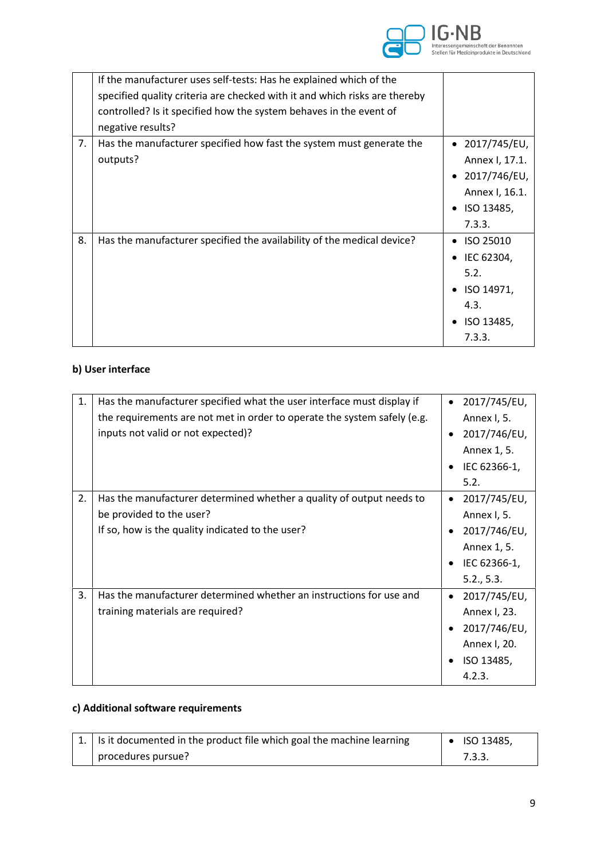

|    | If the manufacturer uses self-tests: Has he explained which of the         |                        |
|----|----------------------------------------------------------------------------|------------------------|
|    | specified quality criteria are checked with it and which risks are thereby |                        |
|    | controlled? Is it specified how the system behaves in the event of         |                        |
|    | negative results?                                                          |                        |
| 7. | Has the manufacturer specified how fast the system must generate the       | $\bullet$ 2017/745/EU, |
|    | outputs?                                                                   | Annex I, 17.1.         |
|    |                                                                            | 2017/746/EU,           |
|    |                                                                            | Annex I, 16.1.         |
|    |                                                                            | ISO 13485,             |
|    |                                                                            | 7.3.3.                 |
| 8. | Has the manufacturer specified the availability of the medical device?     | ISO 25010              |
|    |                                                                            | IEC 62304,             |
|    |                                                                            | 5.2.                   |
|    |                                                                            | ISO 14971,             |
|    |                                                                            | 4.3.                   |
|    |                                                                            | ISO 13485,             |
|    |                                                                            | 7.3.3.                 |

# **b) User interface**

| 1. | Has the manufacturer specified what the user interface must display if<br>the requirements are not met in order to operate the system safely (e.g.<br>inputs not valid or not expected)? | 2017/745/EU,<br>Annex I, 5.<br>2017/746/EU,<br>Annex 1, 5.<br>IEC 62366-1,<br>5.2.                    |
|----|------------------------------------------------------------------------------------------------------------------------------------------------------------------------------------------|-------------------------------------------------------------------------------------------------------|
| 2. | Has the manufacturer determined whether a quality of output needs to<br>be provided to the user?<br>If so, how is the quality indicated to the user?                                     | 2017/745/EU,<br>$\bullet$<br>Annex I, 5.<br>2017/746/EU,<br>Annex 1, 5.<br>IEC 62366-1,<br>5.2., 5.3. |
| 3. | Has the manufacturer determined whether an instructions for use and<br>training materials are required?                                                                                  | 2017/745/EU,<br>Annex I, 23.<br>2017/746/EU,<br>Annex I, 20.<br>ISO 13485,<br>4.2.3.                  |

## **c) Additional software requirements**

| $\vert 1. \vert$ Is it documented in the product file which goal the machine learning | $\bullet$ ISO 13485, |
|---------------------------------------------------------------------------------------|----------------------|
| procedures pursue?                                                                    | 7.3.3.               |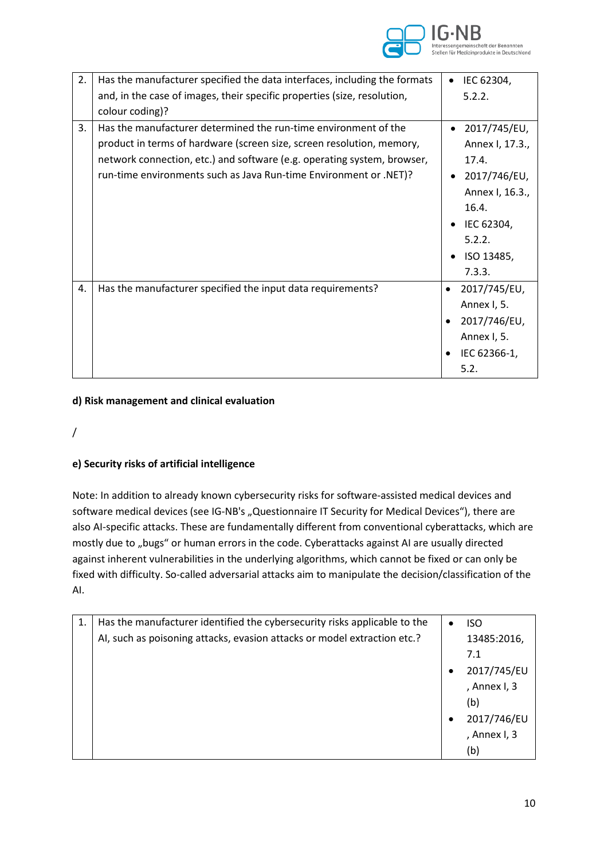

| 2. | Has the manufacturer specified the data interfaces, including the formats | IEC 62304,      |
|----|---------------------------------------------------------------------------|-----------------|
|    | and, in the case of images, their specific properties (size, resolution,  | 5.2.2.          |
|    | colour coding)?                                                           |                 |
| 3. | Has the manufacturer determined the run-time environment of the           | 2017/745/EU,    |
|    | product in terms of hardware (screen size, screen resolution, memory,     | Annex I, 17.3., |
|    | network connection, etc.) and software (e.g. operating system, browser,   | 17.4.           |
|    | run-time environments such as Java Run-time Environment or .NET)?         | 2017/746/EU,    |
|    |                                                                           | Annex I, 16.3., |
|    |                                                                           | 16.4.           |
|    |                                                                           | IEC 62304,      |
|    |                                                                           | 5.2.2.          |
|    |                                                                           | ISO 13485,      |
|    |                                                                           | 7.3.3.          |
| 4. | Has the manufacturer specified the input data requirements?               | 2017/745/EU,    |
|    |                                                                           | Annex I, 5.     |
|    |                                                                           | 2017/746/EU,    |
|    |                                                                           | Annex I, 5.     |
|    |                                                                           | IEC 62366-1,    |
|    |                                                                           | 5.2.            |

#### **d) Risk management and clinical evaluation**

### /

### **e) Security risks of artificial intelligence**

Note: In addition to already known cybersecurity risks for software-assisted medical devices and software medical devices (see IG-NB's "Questionnaire IT Security for Medical Devices"), there are also AI-specific attacks. These are fundamentally different from conventional cyberattacks, which are mostly due to "bugs" or human errors in the code. Cyberattacks against AI are usually directed against inherent vulnerabilities in the underlying algorithms, which cannot be fixed or can only be fixed with difficulty. So-called adversarial attacks aim to manipulate the decision/classification of the AI.

| 1. | Has the manufacturer identified the cybersecurity risks applicable to the |           | <b>ISO</b>   |
|----|---------------------------------------------------------------------------|-----------|--------------|
|    | AI, such as poisoning attacks, evasion attacks or model extraction etc.?  |           | 13485:2016,  |
|    |                                                                           |           | 7.1          |
|    |                                                                           |           | 2017/745/EU  |
|    |                                                                           |           | , Annex I, 3 |
|    |                                                                           |           | (b)          |
|    |                                                                           | $\bullet$ | 2017/746/EU  |
|    |                                                                           |           | , Annex I, 3 |
|    |                                                                           |           | (b)          |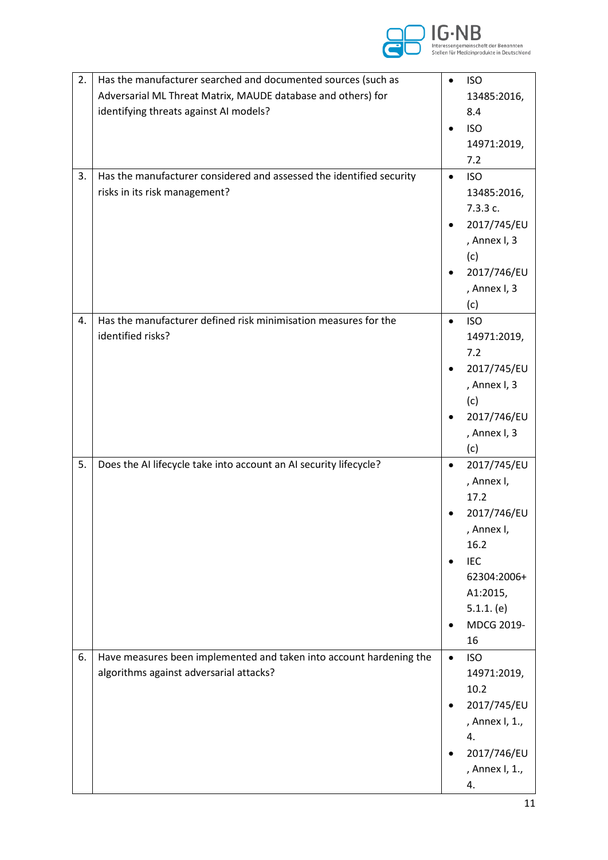

| 2. | Has the manufacturer searched and documented sources (such as        | $\bullet$ | <b>ISO</b>         |
|----|----------------------------------------------------------------------|-----------|--------------------|
|    | Adversarial ML Threat Matrix, MAUDE database and others) for         |           | 13485:2016,        |
|    | identifying threats against AI models?                               |           | 8.4                |
|    |                                                                      |           | <b>ISO</b>         |
|    |                                                                      |           |                    |
|    |                                                                      |           | 14971:2019,        |
|    |                                                                      |           | 7.2                |
| 3. | Has the manufacturer considered and assessed the identified security | $\bullet$ | <b>ISO</b>         |
|    | risks in its risk management?                                        |           | 13485:2016,        |
|    |                                                                      |           | 7.3.3 c.           |
|    |                                                                      |           | 2017/745/EU        |
|    |                                                                      |           | , Annex I, 3       |
|    |                                                                      |           | (c)                |
|    |                                                                      |           | 2017/746/EU        |
|    |                                                                      |           | , Annex I, 3       |
|    |                                                                      |           | (c)                |
| 4. | Has the manufacturer defined risk minimisation measures for the      | $\bullet$ | <b>ISO</b>         |
|    | identified risks?                                                    |           | 14971:2019,        |
|    |                                                                      |           | 7.2                |
|    |                                                                      |           | 2017/745/EU        |
|    |                                                                      |           | , Annex I, 3       |
|    |                                                                      |           | (c)                |
|    |                                                                      |           | 2017/746/EU        |
|    |                                                                      |           | , Annex I, 3       |
|    |                                                                      |           | (c)                |
| 5. | Does the AI lifecycle take into account an AI security lifecycle?    | $\bullet$ | 2017/745/EU        |
|    |                                                                      |           | , Annex I,<br>17.2 |
|    |                                                                      |           |                    |
|    |                                                                      |           | 2017/746/EU        |
|    |                                                                      |           | , Annex I,<br>16.2 |
|    |                                                                      |           | <b>IEC</b>         |
|    |                                                                      |           | 62304:2006+        |
|    |                                                                      |           | A1:2015,           |
|    |                                                                      |           | $5.1.1.$ (e)       |
|    |                                                                      |           | MDCG 2019-         |
|    |                                                                      |           | 16                 |
| 6. | Have measures been implemented and taken into account hardening the  | $\bullet$ | <b>ISO</b>         |
|    | algorithms against adversarial attacks?                              |           | 14971:2019,        |
|    |                                                                      |           | 10.2               |
|    |                                                                      |           | 2017/745/EU        |
|    |                                                                      |           | , Annex I, 1.,     |
|    |                                                                      |           | 4.                 |
|    |                                                                      |           | 2017/746/EU        |
|    |                                                                      |           | , Annex I, 1.,     |
|    |                                                                      |           | 4.                 |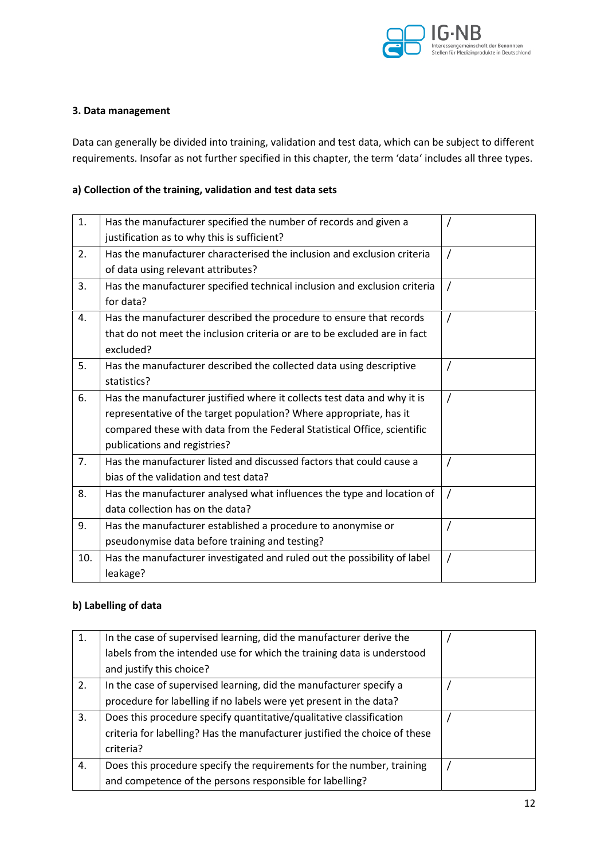

#### **3. Data management**

Data can generally be divided into training, validation and test data, which can be subject to different requirements. Insofar as not further specified in this chapter, the term 'data' includes all three types.

#### **a) Collection of the training, validation and test data sets**

| 1.  | Has the manufacturer specified the number of records and given a          |          |
|-----|---------------------------------------------------------------------------|----------|
|     | justification as to why this is sufficient?                               |          |
| 2.  | Has the manufacturer characterised the inclusion and exclusion criteria   | $\prime$ |
|     | of data using relevant attributes?                                        |          |
| 3.  | Has the manufacturer specified technical inclusion and exclusion criteria |          |
|     | for data?                                                                 |          |
| 4.  | Has the manufacturer described the procedure to ensure that records       | $\prime$ |
|     | that do not meet the inclusion criteria or are to be excluded are in fact |          |
|     | excluded?                                                                 |          |
| 5.  | Has the manufacturer described the collected data using descriptive       |          |
|     | statistics?                                                               |          |
| 6.  | Has the manufacturer justified where it collects test data and why it is  | $\prime$ |
|     | representative of the target population? Where appropriate, has it        |          |
|     | compared these with data from the Federal Statistical Office, scientific  |          |
|     | publications and registries?                                              |          |
| 7.  | Has the manufacturer listed and discussed factors that could cause a      |          |
|     | bias of the validation and test data?                                     |          |
| 8.  | Has the manufacturer analysed what influences the type and location of    |          |
|     | data collection has on the data?                                          |          |
| 9.  | Has the manufacturer established a procedure to anonymise or              |          |
|     | pseudonymise data before training and testing?                            |          |
| 10. | Has the manufacturer investigated and ruled out the possibility of label  | $\prime$ |
|     | leakage?                                                                  |          |

### **b) Labelling of data**

| 1. | In the case of supervised learning, did the manufacturer derive the        |  |
|----|----------------------------------------------------------------------------|--|
|    | labels from the intended use for which the training data is understood     |  |
|    | and justify this choice?                                                   |  |
| 2. | In the case of supervised learning, did the manufacturer specify a         |  |
|    | procedure for labelling if no labels were yet present in the data?         |  |
| 3. | Does this procedure specify quantitative/qualitative classification        |  |
|    | criteria for labelling? Has the manufacturer justified the choice of these |  |
|    | criteria?                                                                  |  |
| 4. | Does this procedure specify the requirements for the number, training      |  |
|    | and competence of the persons responsible for labelling?                   |  |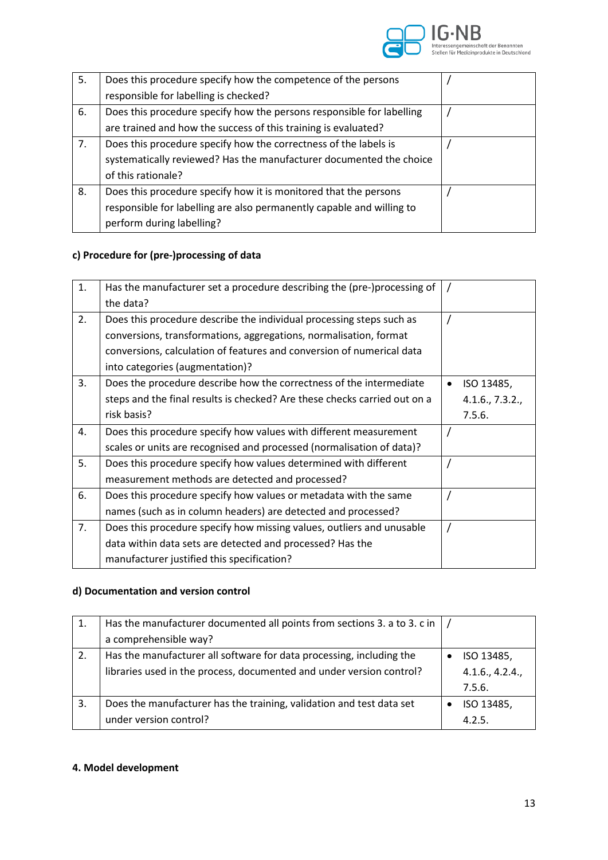

| 5. | Does this procedure specify how the competence of the persons         |  |
|----|-----------------------------------------------------------------------|--|
|    | responsible for labelling is checked?                                 |  |
| 6. | Does this procedure specify how the persons responsible for labelling |  |
|    | are trained and how the success of this training is evaluated?        |  |
| 7. | Does this procedure specify how the correctness of the labels is      |  |
|    | systematically reviewed? Has the manufacturer documented the choice   |  |
|    | of this rationale?                                                    |  |
| 8. | Does this procedure specify how it is monitored that the persons      |  |
|    | responsible for labelling are also permanently capable and willing to |  |
|    | perform during labelling?                                             |  |

# **c) Procedure for (pre-)processing of data**

| 1. | Has the manufacturer set a procedure describing the (pre-)processing of   |           |                 |
|----|---------------------------------------------------------------------------|-----------|-----------------|
|    | the data?                                                                 |           |                 |
| 2. | Does this procedure describe the individual processing steps such as      |           |                 |
|    | conversions, transformations, aggregations, normalisation, format         |           |                 |
|    | conversions, calculation of features and conversion of numerical data     |           |                 |
|    | into categories (augmentation)?                                           |           |                 |
| 3. | Does the procedure describe how the correctness of the intermediate       | $\bullet$ | ISO 13485,      |
|    | steps and the final results is checked? Are these checks carried out on a |           | 4.1.6., 7.3.2., |
|    | risk basis?                                                               |           | 7.5.6.          |
| 4. | Does this procedure specify how values with different measurement         |           |                 |
|    | scales or units are recognised and processed (normalisation of data)?     |           |                 |
| 5. | Does this procedure specify how values determined with different          |           |                 |
|    | measurement methods are detected and processed?                           |           |                 |
| 6. | Does this procedure specify how values or metadata with the same          |           |                 |
|    | names (such as in column headers) are detected and processed?             |           |                 |
| 7. | Does this procedure specify how missing values, outliers and unusable     | $\prime$  |                 |
|    | data within data sets are detected and processed? Has the                 |           |                 |
|    | manufacturer justified this specification?                                |           |                 |

## **d) Documentation and version control**

| 1. | Has the manufacturer documented all points from sections 3. a to 3. c in |                 |
|----|--------------------------------------------------------------------------|-----------------|
|    | a comprehensible way?                                                    |                 |
| 2. | Has the manufacturer all software for data processing, including the     | ISO 13485,      |
|    | libraries used in the process, documented and under version control?     | 4.1.6., 4.2.4., |
|    |                                                                          | 7.5.6.          |
| 3. | Does the manufacturer has the training, validation and test data set     | ISO 13485,      |
|    | under version control?                                                   | 4.2.5.          |

# **4. Model development**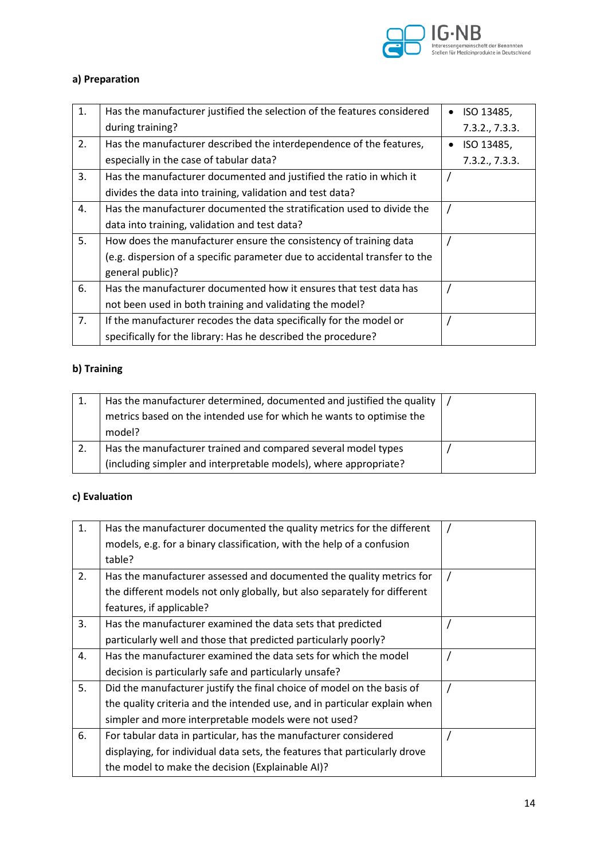

# **a) Preparation**

| 1. | Has the manufacturer justified the selection of the features considered    | ISO 13485,     |
|----|----------------------------------------------------------------------------|----------------|
|    | during training?                                                           | 7.3.2., 7.3.3. |
| 2. | Has the manufacturer described the interdependence of the features,        | ISO 13485,     |
|    | especially in the case of tabular data?                                    | 7.3.2., 7.3.3. |
| 3. | Has the manufacturer documented and justified the ratio in which it        |                |
|    | divides the data into training, validation and test data?                  |                |
| 4. | Has the manufacturer documented the stratification used to divide the      |                |
|    | data into training, validation and test data?                              |                |
| 5. | How does the manufacturer ensure the consistency of training data          |                |
|    | (e.g. dispersion of a specific parameter due to accidental transfer to the |                |
|    | general public)?                                                           |                |
| 6. | Has the manufacturer documented how it ensures that test data has          |                |
|    | not been used in both training and validating the model?                   |                |
| 7. | If the manufacturer recodes the data specifically for the model or         |                |
|    | specifically for the library: Has he described the procedure?              |                |

# **b) Training**

| 1. | Has the manufacturer determined, documented and justified the quality $\mid$ / |  |
|----|--------------------------------------------------------------------------------|--|
|    | metrics based on the intended use for which he wants to optimise the           |  |
|    | model?                                                                         |  |
|    | Has the manufacturer trained and compared several model types                  |  |
|    | (including simpler and interpretable models), where appropriate?               |  |

## **c) Evaluation**

| 1. | Has the manufacturer documented the quality metrics for the different      |  |
|----|----------------------------------------------------------------------------|--|
|    | models, e.g. for a binary classification, with the help of a confusion     |  |
|    | table?                                                                     |  |
| 2. | Has the manufacturer assessed and documented the quality metrics for       |  |
|    | the different models not only globally, but also separately for different  |  |
|    | features, if applicable?                                                   |  |
| 3. | Has the manufacturer examined the data sets that predicted                 |  |
|    | particularly well and those that predicted particularly poorly?            |  |
| 4. | Has the manufacturer examined the data sets for which the model            |  |
|    | decision is particularly safe and particularly unsafe?                     |  |
| 5. | Did the manufacturer justify the final choice of model on the basis of     |  |
|    | the quality criteria and the intended use, and in particular explain when  |  |
|    | simpler and more interpretable models were not used?                       |  |
| 6. | For tabular data in particular, has the manufacturer considered            |  |
|    | displaying, for individual data sets, the features that particularly drove |  |
|    | the model to make the decision (Explainable AI)?                           |  |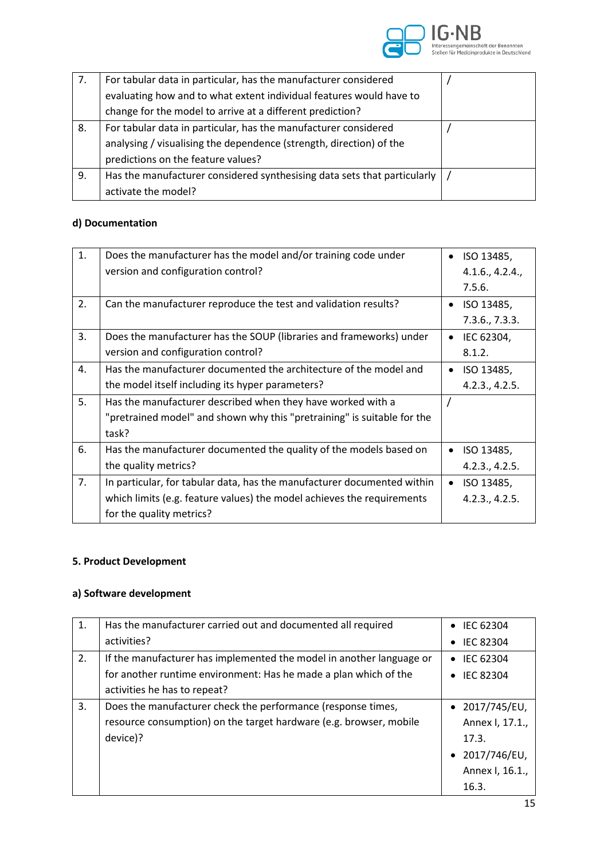

| 7. | For tabular data in particular, has the manufacturer considered          |  |
|----|--------------------------------------------------------------------------|--|
|    | evaluating how and to what extent individual features would have to      |  |
|    | change for the model to arrive at a different prediction?                |  |
| 8. | For tabular data in particular, has the manufacturer considered          |  |
|    | analysing / visualising the dependence (strength, direction) of the      |  |
|    | predictions on the feature values?                                       |  |
| 9. | Has the manufacturer considered synthesising data sets that particularly |  |
|    | activate the model?                                                      |  |

# **d) Documentation**

| 1. | Does the manufacturer has the model and/or training code under          | ISO 13485,              |
|----|-------------------------------------------------------------------------|-------------------------|
|    | version and configuration control?                                      | 4.1.6., 4.2.4.,         |
|    |                                                                         | 7.5.6.                  |
| 2. | Can the manufacturer reproduce the test and validation results?         | ISO 13485,              |
|    |                                                                         | 7.3.6., 7.3.3.          |
| 3. | Does the manufacturer has the SOUP (libraries and frameworks) under     | IEC 62304,              |
|    | version and configuration control?                                      | 8.1.2.                  |
| 4. | Has the manufacturer documented the architecture of the model and       | ISO 13485,              |
|    | the model itself including its hyper parameters?                        | 4.2.3., 4.2.5.          |
| 5. | Has the manufacturer described when they have worked with a             |                         |
|    | "pretrained model" and shown why this "pretraining" is suitable for the |                         |
|    | task?                                                                   |                         |
| 6. | Has the manufacturer documented the quality of the models based on      | ISO 13485,              |
|    | the quality metrics?                                                    | 4.2.3., 4.2.5.          |
| 7. | In particular, for tabular data, has the manufacturer documented within | ISO 13485,<br>$\bullet$ |
|    | which limits (e.g. feature values) the model achieves the requirements  | 4.2.3., 4.2.5.          |
|    | for the quality metrics?                                                |                         |

## **5. Product Development**

# **a) Software development**

| 1. | Has the manufacturer carried out and documented all required         | IEC 62304<br>$\bullet$        |
|----|----------------------------------------------------------------------|-------------------------------|
|    | activities?                                                          | <b>IEC 82304</b><br>$\bullet$ |
| 2. | If the manufacturer has implemented the model in another language or | IEC 62304<br>$\bullet$        |
|    | for another runtime environment: Has he made a plan which of the     | <b>IEC 82304</b><br>$\bullet$ |
|    | activities he has to repeat?                                         |                               |
| 3. | Does the manufacturer check the performance (response times,         | $\bullet$ 2017/745/EU,        |
|    | resource consumption) on the target hardware (e.g. browser, mobile   | Annex I, 17.1.,               |
|    | device)?                                                             | 17.3.                         |
|    |                                                                      | $\bullet$ 2017/746/EU,        |
|    |                                                                      | Annex I, 16.1.,               |
|    |                                                                      | 16.3.                         |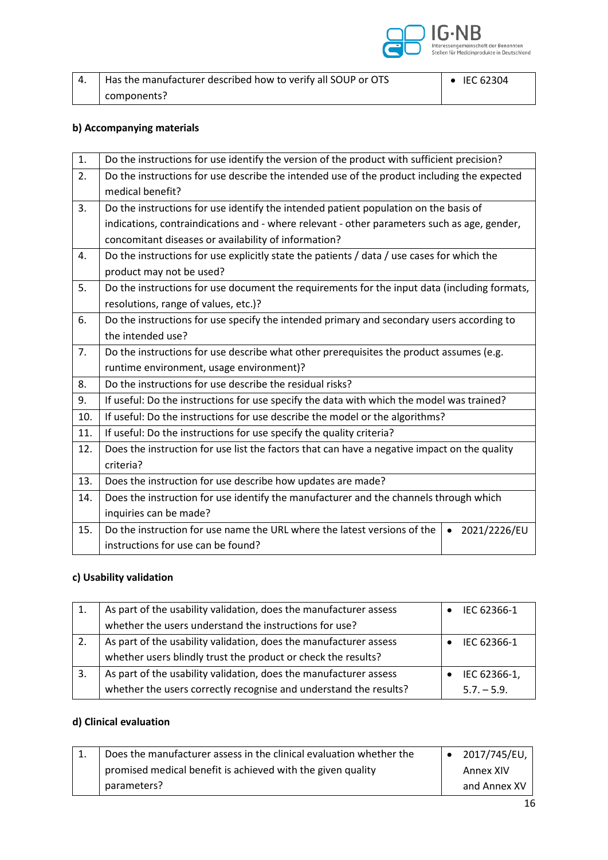

| Has the manufacturer described how to verify all SOUP or OTS | $\bullet$ IEC 62304 |
|--------------------------------------------------------------|---------------------|
| components?                                                  |                     |

## **b) Accompanying materials**

| 1.  | Do the instructions for use identify the version of the product with sufficient precision?   |                           |  |
|-----|----------------------------------------------------------------------------------------------|---------------------------|--|
| 2.  | Do the instructions for use describe the intended use of the product including the expected  |                           |  |
|     | medical benefit?                                                                             |                           |  |
| 3.  | Do the instructions for use identify the intended patient population on the basis of         |                           |  |
|     | indications, contraindications and - where relevant - other parameters such as age, gender,  |                           |  |
|     | concomitant diseases or availability of information?                                         |                           |  |
| 4.  | Do the instructions for use explicitly state the patients / data / use cases for which the   |                           |  |
|     | product may not be used?                                                                     |                           |  |
| 5.  | Do the instructions for use document the requirements for the input data (including formats, |                           |  |
|     | resolutions, range of values, etc.)?                                                         |                           |  |
| 6.  | Do the instructions for use specify the intended primary and secondary users according to    |                           |  |
|     | the intended use?                                                                            |                           |  |
| 7.  | Do the instructions for use describe what other prerequisites the product assumes (e.g.      |                           |  |
|     | runtime environment, usage environment)?                                                     |                           |  |
| 8.  | Do the instructions for use describe the residual risks?                                     |                           |  |
| 9.  | If useful: Do the instructions for use specify the data with which the model was trained?    |                           |  |
| 10. | If useful: Do the instructions for use describe the model or the algorithms?                 |                           |  |
| 11. | If useful: Do the instructions for use specify the quality criteria?                         |                           |  |
| 12. | Does the instruction for use list the factors that can have a negative impact on the quality |                           |  |
|     | criteria?                                                                                    |                           |  |
| 13. | Does the instruction for use describe how updates are made?                                  |                           |  |
| 14. | Does the instruction for use identify the manufacturer and the channels through which        |                           |  |
|     | inquiries can be made?                                                                       |                           |  |
| 15. | Do the instruction for use name the URL where the latest versions of the                     | 2021/2226/EU<br>$\bullet$ |  |
|     | instructions for use can be found?                                                           |                           |  |

# **c) Usability validation**

|    | As part of the usability validation, does the manufacturer assess | IEC 62366-1   |
|----|-------------------------------------------------------------------|---------------|
|    | whether the users understand the instructions for use?            |               |
| 2. | As part of the usability validation, does the manufacturer assess | IEC 62366-1   |
|    | whether users blindly trust the product or check the results?     |               |
| 3. | As part of the usability validation, does the manufacturer assess | IEC 62366-1,  |
|    | whether the users correctly recognise and understand the results? | $5.7 - 5.9$ . |

# **d) Clinical evaluation**

| Does the manufacturer assess in the clinical evaluation whether the | 2017/745/EU, |
|---------------------------------------------------------------------|--------------|
| promised medical benefit is achieved with the given quality         | Annex XIV    |
| parameters?                                                         | and Annex XV |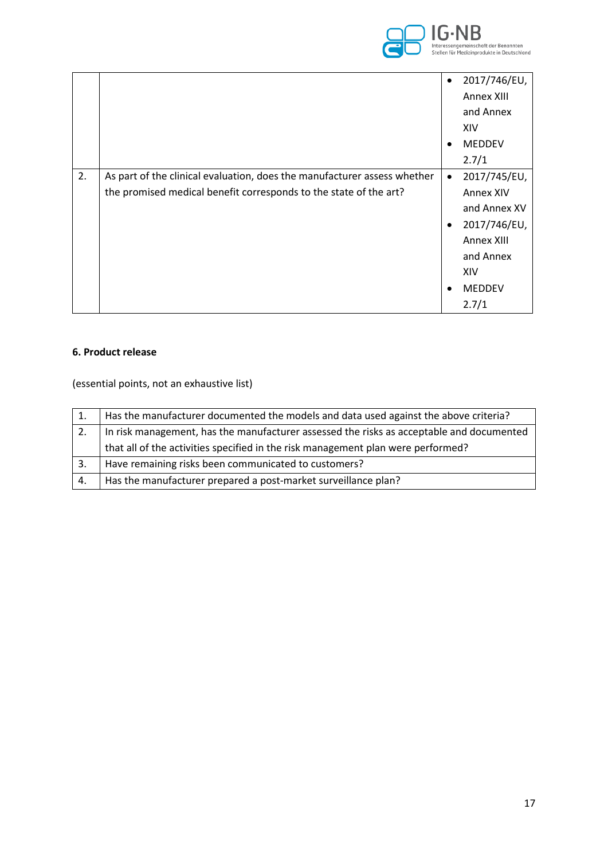

|    |                                                                          | $\bullet$ | 2017/746/EU,     |
|----|--------------------------------------------------------------------------|-----------|------------------|
|    |                                                                          |           | Annex XIII       |
|    |                                                                          |           | and Annex        |
|    |                                                                          |           | XIV              |
|    |                                                                          | $\bullet$ | <b>MEDDEV</b>    |
|    |                                                                          |           | 2.7/1            |
| 2. | As part of the clinical evaluation, does the manufacturer assess whether | $\bullet$ | 2017/745/EU,     |
|    | the promised medical benefit corresponds to the state of the art?        |           | <b>Annex XIV</b> |
|    |                                                                          |           | and Annex XV     |
|    |                                                                          | $\bullet$ | 2017/746/EU,     |
|    |                                                                          |           | Annex XIII       |
|    |                                                                          |           | and Annex        |
|    |                                                                          |           | XIV              |
|    |                                                                          | $\bullet$ | <b>MEDDEV</b>    |
|    |                                                                          |           | 2.7/1            |

### **6. Product release**

(essential points, not an exhaustive list)

|    | Has the manufacturer documented the models and data used against the above criteria?     |
|----|------------------------------------------------------------------------------------------|
| 2. | In risk management, has the manufacturer assessed the risks as acceptable and documented |
|    | that all of the activities specified in the risk management plan were performed?         |
| 3. | Have remaining risks been communicated to customers?                                     |
| 4. | Has the manufacturer prepared a post-market surveillance plan?                           |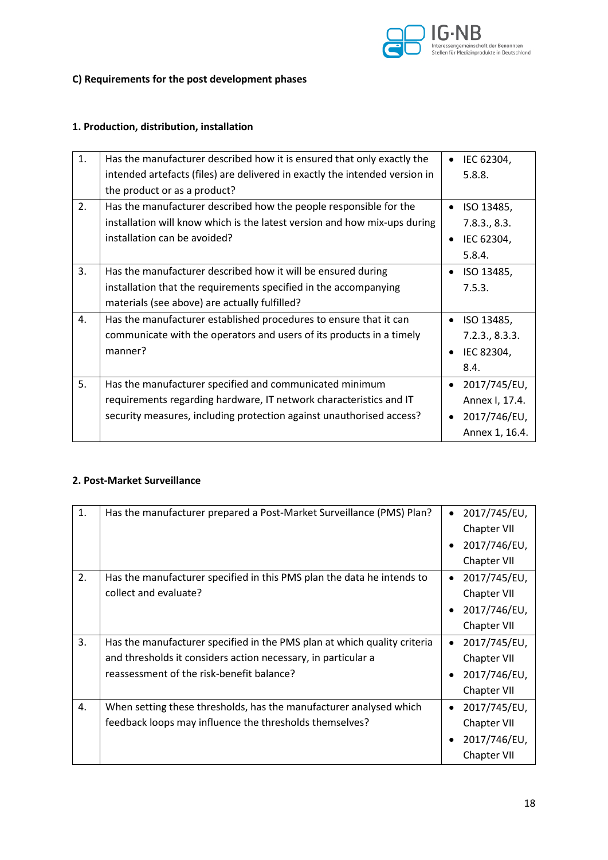

# **C) Requirements for the post development phases**

## **1. Production, distribution, installation**

| 1. | Has the manufacturer described how it is ensured that only exactly the      |           | IEC 62304,     |
|----|-----------------------------------------------------------------------------|-----------|----------------|
|    | intended artefacts (files) are delivered in exactly the intended version in |           | 5.8.8.         |
|    | the product or as a product?                                                |           |                |
| 2. | Has the manufacturer described how the people responsible for the           | $\bullet$ | ISO 13485,     |
|    | installation will know which is the latest version and how mix-ups during   |           | 7.8.3., 8.3.   |
|    | installation can be avoided?                                                | ٠         | IEC 62304,     |
|    |                                                                             |           | 5.8.4.         |
| 3. | Has the manufacturer described how it will be ensured during                |           | ISO 13485,     |
|    | installation that the requirements specified in the accompanying            |           | 7.5.3.         |
|    | materials (see above) are actually fulfilled?                               |           |                |
| 4. | Has the manufacturer established procedures to ensure that it can           |           | ISO 13485,     |
|    | communicate with the operators and users of its products in a timely        |           | 7.2.3., 8.3.3. |
|    | manner?                                                                     |           | IEC 82304,     |
|    |                                                                             |           | 8.4.           |
| 5. | Has the manufacturer specified and communicated minimum                     |           | 2017/745/EU,   |
|    | requirements regarding hardware, IT network characteristics and IT          |           | Annex I, 17.4. |
|    | security measures, including protection against unauthorised access?        |           | 2017/746/EU,   |
|    |                                                                             |           | Annex 1, 16.4. |

### **2. Post-Market Surveillance**

| 1. | Has the manufacturer prepared a Post-Market Surveillance (PMS) Plan?     | 2017/745/EU,              |
|----|--------------------------------------------------------------------------|---------------------------|
|    |                                                                          | Chapter VII               |
|    |                                                                          | 2017/746/EU,              |
|    |                                                                          | Chapter VII               |
| 2. | Has the manufacturer specified in this PMS plan the data he intends to   | 2017/745/EU,<br>$\bullet$ |
|    | collect and evaluate?                                                    | Chapter VII               |
|    |                                                                          | 2017/746/EU,              |
|    |                                                                          | Chapter VII               |
| 3. | Has the manufacturer specified in the PMS plan at which quality criteria | 2017/745/EU,              |
|    | and thresholds it considers action necessary, in particular a            | Chapter VII               |
|    | reassessment of the risk-benefit balance?                                | 2017/746/EU,              |
|    |                                                                          | Chapter VII               |
| 4. | When setting these thresholds, has the manufacturer analysed which       | 2017/745/EU,<br>$\bullet$ |
|    | feedback loops may influence the thresholds themselves?                  | Chapter VII               |
|    |                                                                          | 2017/746/EU,              |
|    |                                                                          | Chapter VII               |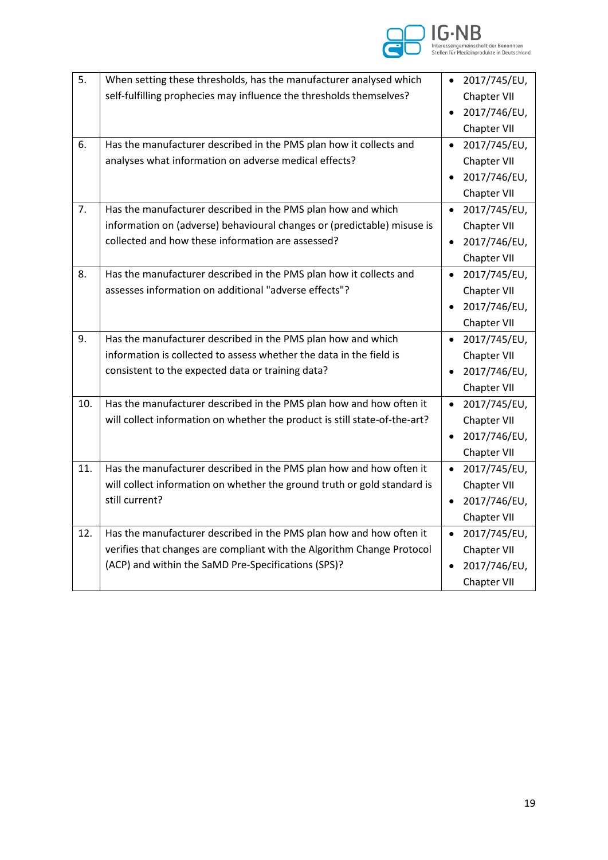

| 5.  | When setting these thresholds, has the manufacturer analysed which         | 2017/745/EU,<br>$\bullet$ |
|-----|----------------------------------------------------------------------------|---------------------------|
|     | self-fulfilling prophecies may influence the thresholds themselves?        | Chapter VII               |
|     |                                                                            | 2017/746/EU,              |
|     |                                                                            | Chapter VII               |
| 6.  | Has the manufacturer described in the PMS plan how it collects and         | $\bullet$ 2017/745/EU,    |
|     | analyses what information on adverse medical effects?                      | Chapter VII               |
|     |                                                                            | 2017/746/EU,              |
|     |                                                                            | Chapter VII               |
| 7.  | Has the manufacturer described in the PMS plan how and which               | 2017/745/EU,<br>$\bullet$ |
|     | information on (adverse) behavioural changes or (predictable) misuse is    | Chapter VII               |
|     | collected and how these information are assessed?                          | $\bullet$ 2017/746/EU,    |
|     |                                                                            | Chapter VII               |
| 8.  | Has the manufacturer described in the PMS plan how it collects and         | 2017/745/EU,<br>$\bullet$ |
|     | assesses information on additional "adverse effects"?                      | Chapter VII               |
|     |                                                                            | 2017/746/EU,              |
|     |                                                                            | Chapter VII               |
| 9.  | Has the manufacturer described in the PMS plan how and which               | 2017/745/EU,<br>$\bullet$ |
|     | information is collected to assess whether the data in the field is        | Chapter VII               |
|     | consistent to the expected data or training data?                          | 2017/746/EU,              |
|     |                                                                            | Chapter VII               |
| 10. | Has the manufacturer described in the PMS plan how and how often it        | $\bullet$ 2017/745/EU,    |
|     | will collect information on whether the product is still state-of-the-art? | Chapter VII               |
|     |                                                                            | 2017/746/EU,              |
|     |                                                                            | Chapter VII               |
| 11. | Has the manufacturer described in the PMS plan how and how often it        | 2017/745/EU,<br>$\bullet$ |
|     | will collect information on whether the ground truth or gold standard is   | Chapter VII               |
|     | still current?                                                             | 2017/746/EU,              |
|     |                                                                            | Chapter VII               |
| 12. | Has the manufacturer described in the PMS plan how and how often it        | $\bullet$ 2017/745/EU,    |
|     | verifies that changes are compliant with the Algorithm Change Protocol     | Chapter VII               |
|     | (ACP) and within the SaMD Pre-Specifications (SPS)?                        | 2017/746/EU,              |
|     |                                                                            | Chapter VII               |